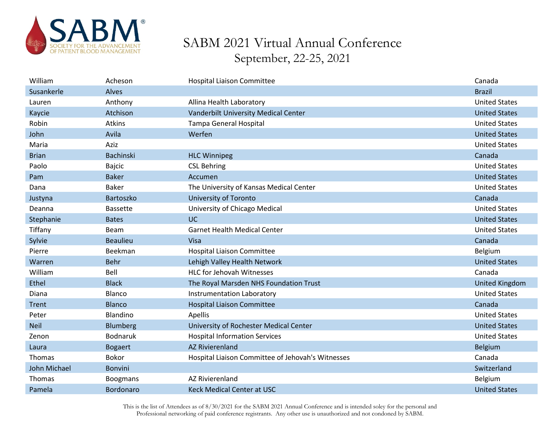

| William      | Acheson          | <b>Hospital Liaison Committee</b>                 | Canada                |
|--------------|------------------|---------------------------------------------------|-----------------------|
| Susankerle   | Alves            |                                                   | <b>Brazil</b>         |
| Lauren       | Anthony          | Allina Health Laboratory                          | <b>United States</b>  |
| Kaycie       | Atchison         | Vanderbilt University Medical Center              | <b>United States</b>  |
| Robin        | Atkins           | Tampa General Hospital                            | <b>United States</b>  |
| John         | Avila            | Werfen                                            | <b>United States</b>  |
| Maria        | Aziz             |                                                   | <b>United States</b>  |
| <b>Brian</b> | <b>Bachinski</b> | <b>HLC Winnipeg</b>                               | Canada                |
| Paolo        | <b>Bajcic</b>    | <b>CSL Behring</b>                                | <b>United States</b>  |
| Pam          | <b>Baker</b>     | Accumen                                           | <b>United States</b>  |
| Dana         | <b>Baker</b>     | The University of Kansas Medical Center           | <b>United States</b>  |
| Justyna      | Bartoszko        | <b>University of Toronto</b>                      | Canada                |
| Deanna       | <b>Bassette</b>  | University of Chicago Medical                     | <b>United States</b>  |
| Stephanie    | <b>Bates</b>     | UC.                                               | <b>United States</b>  |
| Tiffany      | <b>Beam</b>      | <b>Garnet Health Medical Center</b>               | <b>United States</b>  |
|              |                  |                                                   |                       |
| Sylvie       | <b>Beaulieu</b>  | Visa                                              | Canada                |
| Pierre       | Beekman          | Hospital Liaison Committee                        | Belgium               |
| Warren       | <b>Behr</b>      | Lehigh Valley Health Network                      | <b>United States</b>  |
| William      | Bell             | <b>HLC for Jehovah Witnesses</b>                  | Canada                |
| Ethel        | <b>Black</b>     | The Royal Marsden NHS Foundation Trust            | <b>United Kingdom</b> |
| Diana        | Blanco           | Instrumentation Laboratory                        | <b>United States</b>  |
| Trent        | <b>Blanco</b>    | <b>Hospital Liaison Committee</b>                 | Canada                |
| Peter        | Blandino         | Apellis                                           | <b>United States</b>  |
| <b>Neil</b>  | Blumberg         | University of Rochester Medical Center            | <b>United States</b>  |
| Zenon        | <b>Bodnaruk</b>  | <b>Hospital Information Services</b>              | <b>United States</b>  |
| Laura        | <b>Bogaert</b>   | <b>AZ Rivierenland</b>                            | <b>Belgium</b>        |
| Thomas       | Bokor            | Hospital Liaison Committee of Jehovah's Witnesses | Canada                |
| John Michael | <b>Bonvini</b>   |                                                   | Switzerland           |
| Thomas       | <b>Boogmans</b>  | <b>AZ Rivierenland</b>                            | Belgium               |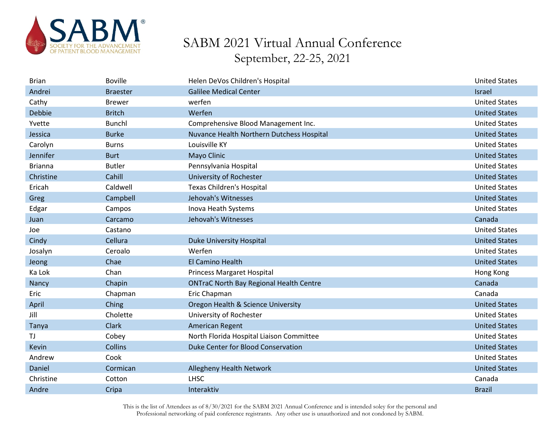

| <b>Brian</b>   | <b>Boville</b>  | Helen DeVos Children's Hospital                | <b>United States</b> |
|----------------|-----------------|------------------------------------------------|----------------------|
| Andrei         | <b>Braester</b> | <b>Galilee Medical Center</b>                  | <b>Israel</b>        |
| Cathy          | <b>Brewer</b>   | werfen                                         | <b>United States</b> |
| Debbie         | <b>Britch</b>   | Werfen                                         | <b>United States</b> |
| Yvette         | <b>Bunchl</b>   | Comprehensive Blood Management Inc.            | <b>United States</b> |
| Jessica        | <b>Burke</b>    | Nuvance Health Northern Dutchess Hospital      | <b>United States</b> |
| Carolyn        | <b>Burns</b>    | Louisville KY                                  | <b>United States</b> |
| Jennifer       | <b>Burt</b>     | Mayo Clinic                                    | <b>United States</b> |
| <b>Brianna</b> | <b>Butler</b>   | Pennsylvania Hospital                          | <b>United States</b> |
| Christine      | Cahill          | <b>University of Rochester</b>                 | <b>United States</b> |
| Ericah         | Caldwell        | <b>Texas Children's Hospital</b>               | <b>United States</b> |
| Greg           | Campbell        | Jehovah's Witnesses                            | <b>United States</b> |
| Edgar          | Campos          | Inova Heath Systems                            | <b>United States</b> |
| Juan           | Carcamo         | Jehovah's Witnesses                            | Canada               |
| Joe            | Castano         |                                                | <b>United States</b> |
| Cindy          | Cellura         | Duke University Hospital                       | <b>United States</b> |
| Josalyn        | Ceroalo         | Werfen                                         | <b>United States</b> |
| Jeong          | Chae            | El Camino Health                               | <b>United States</b> |
| Ka Lok         | Chan            | <b>Princess Margaret Hospital</b>              | Hong Kong            |
| Nancy          | Chapin          | <b>ONTraC North Bay Regional Health Centre</b> | Canada               |
| Eric           | Chapman         | Eric Chapman                                   | Canada               |
| April          | Ching           | Oregon Health & Science University             | <b>United States</b> |
| Jill           | Cholette        | University of Rochester                        | <b>United States</b> |
| Tanya          | Clark           | <b>American Regent</b>                         | <b>United States</b> |
| TJ             | Cobey           | North Florida Hospital Liaison Committee       | <b>United States</b> |
| Kevin          | <b>Collins</b>  | Duke Center for Blood Conservation             | <b>United States</b> |
| Andrew         | Cook            |                                                | <b>United States</b> |
| Daniel         | Cormican        | Allegheny Health Network                       | <b>United States</b> |
| Christine      | Cotton          | <b>LHSC</b>                                    | Canada               |
| Andre          | Cripa           | Interaktiv                                     | <b>Brazil</b>        |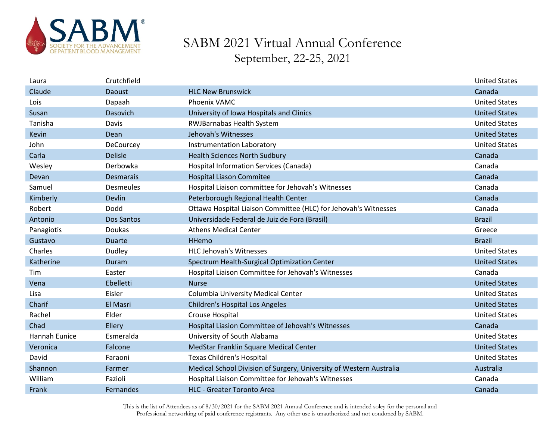

| Laura         | Crutchfield      |                                                                     | <b>United States</b> |
|---------------|------------------|---------------------------------------------------------------------|----------------------|
| Claude        | Daoust           | <b>HLC New Brunswick</b>                                            | Canada               |
| Lois          | Dapaah           | <b>Phoenix VAMC</b>                                                 | <b>United States</b> |
| Susan         | Dasovich         | University of Iowa Hospitals and Clinics                            | <b>United States</b> |
| Tanisha       | Davis            | <b>RWJBarnabas Health System</b>                                    | <b>United States</b> |
| Kevin         | Dean             | Jehovah's Witnesses                                                 | <b>United States</b> |
| John          | DeCourcey        | Instrumentation Laboratory                                          | <b>United States</b> |
| Carla         | <b>Delisle</b>   | <b>Health Sciences North Sudbury</b>                                | Canada               |
| Wesley        | Derbowka         | Hospital Information Services (Canada)                              | Canada               |
| Devan         | <b>Desmarais</b> | <b>Hospital Liason Commitee</b>                                     | Canada               |
| Samuel        | Desmeules        | Hospital Liaison committee for Jehovah's Witnesses                  | Canada               |
| Kimberly      | Devlin           | Peterborough Regional Health Center                                 | Canada               |
| Robert        | Dodd             | Ottawa Hospital Liaison Committee (HLC) for Jehovah's Witnesses     | Canada               |
| Antonio       | Dos Santos       | Universidade Federal de Juiz de Fora (Brasil)                       | <b>Brazil</b>        |
| Panagiotis    | Doukas           | <b>Athens Medical Center</b>                                        | Greece               |
| Gustavo       | <b>Duarte</b>    | <b>HHemo</b>                                                        | <b>Brazil</b>        |
| Charles       | Dudley           | <b>HLC Jehovah's Witnesses</b>                                      | <b>United States</b> |
| Katherine     | Duram            | Spectrum Health-Surgical Optimization Center                        | <b>United States</b> |
| Tim           | Easter           | Hospital Liaison Committee for Jehovah's Witnesses                  | Canada               |
| Vena          | Ebelletti        | <b>Nurse</b>                                                        | <b>United States</b> |
| Lisa          | Eisler           | Columbia University Medical Center                                  | <b>United States</b> |
| Charif        | El Masri         | <b>Children's Hospital Los Angeles</b>                              | <b>United States</b> |
| Rachel        | Elder            | Crouse Hospital                                                     | <b>United States</b> |
| Chad          | Ellery           | Hospital Liasion Committee of Jehovah's Witnesses                   | Canada               |
| Hannah Eunice | Esmeralda        | University of South Alabama                                         | <b>United States</b> |
| Veronica      | Falcone          | MedStar Franklin Square Medical Center                              | <b>United States</b> |
| David         | Faraoni          | <b>Texas Children's Hospital</b>                                    | <b>United States</b> |
| Shannon       | Farmer           | Medical School Division of Surgery, University of Western Australia | Australia            |
| William       | Fazioli          | Hospital Liaison Committee for Jehovah's Witnesses                  | Canada               |
| Frank         | Fernandes        | <b>HLC - Greater Toronto Area</b>                                   | Canada               |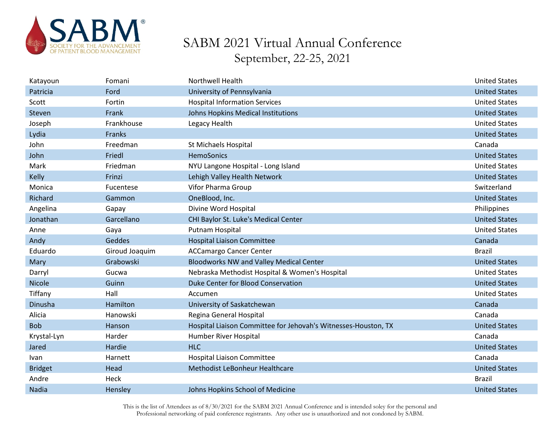

| Katayoun       | Fomani         | <b>Northwell Health</b>                                        | <b>United States</b> |
|----------------|----------------|----------------------------------------------------------------|----------------------|
| Patricia       | Ford           | University of Pennsylvania                                     | <b>United States</b> |
| Scott          | Fortin         | <b>Hospital Information Services</b>                           | <b>United States</b> |
| Steven         | Frank          | Johns Hopkins Medical Institutions                             | <b>United States</b> |
| Joseph         | Frankhouse     | Legacy Health                                                  | <b>United States</b> |
| Lydia          | Franks         |                                                                | <b>United States</b> |
| John           | Freedman       | St Michaels Hospital                                           | Canada               |
| John           | Friedl         | <b>HemoSonics</b>                                              | <b>United States</b> |
| Mark           | Friedman       | NYU Langone Hospital - Long Island                             | <b>United States</b> |
| Kelly          | Frinzi         | Lehigh Valley Health Network                                   | <b>United States</b> |
| Monica         | Fucentese      | Vifor Pharma Group                                             | Switzerland          |
| Richard        | Gammon         | OneBlood, Inc.                                                 | <b>United States</b> |
| Angelina       | Gapay          | Divine Word Hospital                                           | Philippines          |
| Jonathan       | Garcellano     | CHI Baylor St. Luke's Medical Center                           | <b>United States</b> |
| Anne           | Gaya           | Putnam Hospital                                                | <b>United States</b> |
| Andy           | Geddes         | <b>Hospital Liaison Committee</b>                              | Canada               |
| Eduardo        | Giroud Joaquim | <b>ACCamargo Cancer Center</b>                                 | <b>Brazil</b>        |
| Mary           | Grabowski      | <b>Bloodworks NW and Valley Medical Center</b>                 | <b>United States</b> |
| Darryl         | Gucwa          | Nebraska Methodist Hospital & Women's Hospital                 | <b>United States</b> |
| Nicole         |                |                                                                |                      |
|                | Guinn          | Duke Center for Blood Conservation                             | <b>United States</b> |
| Tiffany        | Hall           | Accumen                                                        | <b>United States</b> |
| Dinusha        | Hamilton       | University of Saskatchewan                                     | Canada               |
| Alicia         | Hanowski       | Regina General Hospital                                        | Canada               |
| <b>Bob</b>     | Hanson         | Hospital Liaison Committee for Jehovah's Witnesses-Houston, TX | <b>United States</b> |
| Krystal-Lyn    | Harder         | Humber River Hospital                                          | Canada               |
| Jared          | Hardie         | <b>HLC</b>                                                     | <b>United States</b> |
| <b>Ivan</b>    | Harnett        | <b>Hospital Liaison Committee</b>                              | Canada               |
| <b>Bridget</b> | Head           | Methodist LeBonheur Healthcare                                 | <b>United States</b> |
| Andre          | Heck           |                                                                | <b>Brazil</b>        |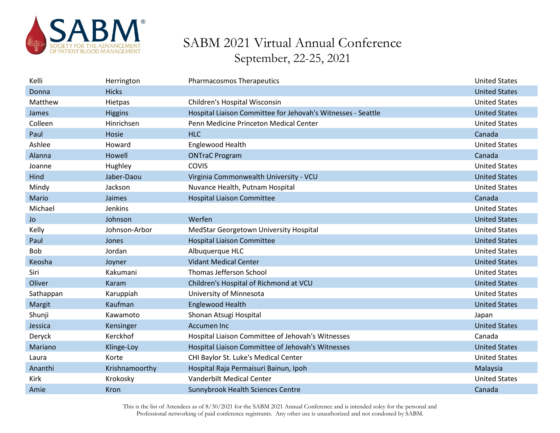

| Kelli      | Herrington     | <b>Pharmacosmos Therapeutics</b>                             | <b>United States</b> |
|------------|----------------|--------------------------------------------------------------|----------------------|
| Donna      | <b>Hicks</b>   |                                                              | <b>United States</b> |
| Matthew    | Hietpas        | Children's Hospital Wisconsin                                | <b>United States</b> |
| James      | <b>Higgins</b> | Hospital Liaison Committee for Jehovah's Witnesses - Seattle | <b>United States</b> |
| Colleen    | Hinrichsen     | Penn Medicine Princeton Medical Center                       | <b>United States</b> |
| Paul       | Hosie          | <b>HLC</b>                                                   | Canada               |
| Ashlee     | Howard         | Englewood Health                                             | <b>United States</b> |
| Alanna     | Howell         | <b>ONTraC Program</b>                                        | Canada               |
| Joanne     | Hughley        | <b>COVIS</b>                                                 | <b>United States</b> |
| Hind       | Jaber-Daou     | Virginia Commonwealth University - VCU                       | <b>United States</b> |
| Mindy      | Jackson        | Nuvance Health, Putnam Hospital                              | <b>United States</b> |
| Mario      | Jaimes         | <b>Hospital Liaison Committee</b>                            | Canada               |
| Michael    | Jenkins        |                                                              | <b>United States</b> |
| <b>Jo</b>  | Johnson        | Werfen                                                       | <b>United States</b> |
| Kelly      | Johnson-Arbor  | MedStar Georgetown University Hospital                       | <b>United States</b> |
| Paul       | Jones          | <b>Hospital Liaison Committee</b>                            | <b>United States</b> |
| <b>Bob</b> | Jordan         | Albuquerque HLC                                              | <b>United States</b> |
| Keosha     | Joyner         | <b>Vidant Medical Center</b>                                 | <b>United States</b> |
| Siri       | Kakumani       | Thomas Jefferson School                                      | <b>United States</b> |
| Oliver     | <b>Karam</b>   | Children's Hospital of Richmond at VCU                       | <b>United States</b> |
| Sathappan  | Karuppiah      | University of Minnesota                                      | <b>United States</b> |
| Margit     | Kaufman        | <b>Englewood Health</b>                                      | <b>United States</b> |
| Shunji     | Kawamoto       | Shonan Atsugi Hospital                                       | Japan                |
| Jessica    | Kensinger      | <b>Accumen Inc</b>                                           | <b>United States</b> |
| Deryck     | Kerckhof       | Hospital Liaison Committee of Jehovah's Witnesses            | Canada               |
| Mariano    | Klinge-Loy     | Hospital Liaison Committee of Jehovah's Witnesses            | <b>United States</b> |
| Laura      | Korte          | CHI Baylor St. Luke's Medical Center                         | <b>United States</b> |
| Ananthi    | Krishnamoorthy | Hospital Raja Permaisuri Bainun, Ipoh                        | Malaysia             |
| Kirk       | Krokosky       | <b>Vanderbilt Medical Center</b>                             | <b>United States</b> |
| Amie       | Kron           | Sunnybrook Health Sciences Centre                            | Canada               |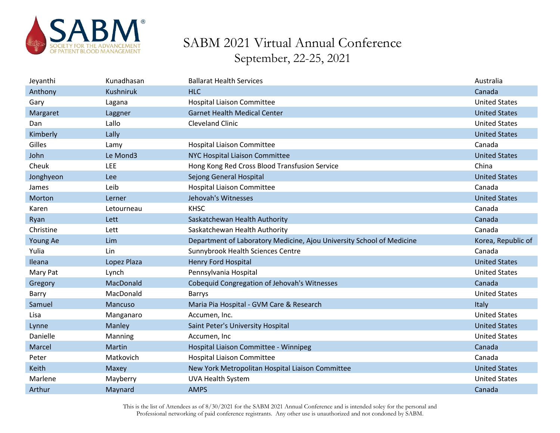

| Jeyanthi  | Kunadhasan       | <b>Ballarat Health Services</b>                                       | Australia            |
|-----------|------------------|-----------------------------------------------------------------------|----------------------|
| Anthony   | <b>Kushniruk</b> | <b>HLC</b>                                                            | Canada               |
| Gary      | Lagana           | <b>Hospital Liaison Committee</b>                                     | <b>United States</b> |
| Margaret  | Laggner          | <b>Garnet Health Medical Center</b>                                   | <b>United States</b> |
| Dan       | Lallo            | <b>Cleveland Clinic</b>                                               | <b>United States</b> |
| Kimberly  | Lally            |                                                                       | <b>United States</b> |
| Gilles    | Lamy             | <b>Hospital Liaison Committee</b>                                     | Canada               |
| John      | Le Mond3         | NYC Hospital Liaison Committee                                        | <b>United States</b> |
| Cheuk     | <b>LEE</b>       | Hong Kong Red Cross Blood Transfusion Service                         | China                |
| Jonghyeon | Lee              | Sejong General Hospital                                               | <b>United States</b> |
| James     | Leib             | <b>Hospital Liaison Committee</b>                                     | Canada               |
| Morton    | Lerner           | Jehovah's Witnesses                                                   | <b>United States</b> |
| Karen     | Letourneau       | <b>KHSC</b>                                                           | Canada               |
| Ryan      | Lett             | Saskatchewan Health Authority                                         | Canada               |
| Christine | Lett             | Saskatchewan Health Authority                                         | Canada               |
|           |                  |                                                                       |                      |
| Young Ae  | Lim              | Department of Laboratory Medicine, Ajou University School of Medicine | Korea, Republic of   |
| Yulia     | Lin              | Sunnybrook Health Sciences Centre                                     | Canada               |
| Ileana    | Lopez Plaza      | <b>Henry Ford Hospital</b>                                            | <b>United States</b> |
| Mary Pat  | Lynch            | Pennsylvania Hospital                                                 | <b>United States</b> |
| Gregory   | MacDonald        | Cobequid Congregation of Jehovah's Witnesses                          | Canada               |
| Barry     | MacDonald        | <b>Barrys</b>                                                         | <b>United States</b> |
| Samuel    | Mancuso          | Maria Pia Hospital - GVM Care & Research                              | Italy                |
| Lisa      | Manganaro        | Accumen, Inc.                                                         | <b>United States</b> |
| Lynne     | Manley           | Saint Peter's University Hospital                                     | <b>United States</b> |
| Danielle  | Manning          | Accumen, Inc                                                          | <b>United States</b> |
| Marcel    | Martin           | Hospital Liaison Committee - Winnipeg                                 | Canada               |
| Peter     | Matkovich        | <b>Hospital Liaison Committee</b>                                     | Canada               |
| Keith     | Maxey            | New York Metropolitan Hospital Liaison Committee                      | <b>United States</b> |
| Marlene   | Mayberry         | <b>UVA Health System</b>                                              | <b>United States</b> |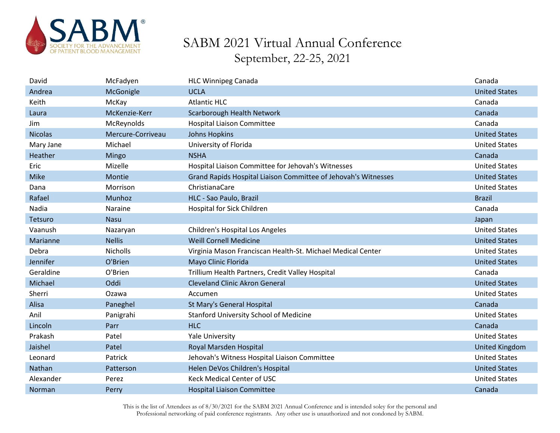

| David          | McFadyen          | <b>HLC Winnipeg Canada</b>                                     | Canada                |
|----------------|-------------------|----------------------------------------------------------------|-----------------------|
| Andrea         | McGonigle         | <b>UCLA</b>                                                    | <b>United States</b>  |
| Keith          | McKay             | <b>Atlantic HLC</b>                                            | Canada                |
| Laura          | McKenzie-Kerr     | Scarborough Health Network                                     | Canada                |
| Jim            | McReynolds        | <b>Hospital Liaison Committee</b>                              | Canada                |
| <b>Nicolas</b> | Mercure-Corriveau | <b>Johns Hopkins</b>                                           | <b>United States</b>  |
| Mary Jane      | Michael           | University of Florida                                          | <b>United States</b>  |
| Heather        | Mingo             | <b>NSHA</b>                                                    | Canada                |
| Eric           | Mizelle           | Hospital Liaison Committee for Jehovah's Witnesses             | <b>United States</b>  |
| <b>Mike</b>    | Montie            | Grand Rapids Hospital Liaison Committee of Jehovah's Witnesses | <b>United States</b>  |
| Dana           | Morrison          | ChristianaCare                                                 | <b>United States</b>  |
| Rafael         | Munhoz            | HLC - Sao Paulo, Brazil                                        | <b>Brazil</b>         |
| Nadia          | Naraine           | Hospital for Sick Children                                     | Canada                |
| Tetsuro        | <b>Nasu</b>       |                                                                | Japan                 |
| Vaanush        | Nazaryan          | Children's Hospital Los Angeles                                | <b>United States</b>  |
| Marianne       | <b>Nellis</b>     | <b>Weill Cornell Medicine</b>                                  | <b>United States</b>  |
| Debra          | <b>Nicholls</b>   | Virginia Mason Franciscan Health-St. Michael Medical Center    | <b>United States</b>  |
| Jennifer       | O'Brien           | Mayo Clinic Florida                                            | <b>United States</b>  |
| Geraldine      | O'Brien           | Trillium Health Partners, Credit Valley Hospital               | Canada                |
| Michael        | Oddi              | <b>Cleveland Clinic Akron General</b>                          | <b>United States</b>  |
| Sherri         | Ozawa             | Accumen                                                        | <b>United States</b>  |
| Alisa          | Paneghel          | St Mary's General Hospital                                     | Canada                |
| Anil           | Panigrahi         | <b>Stanford University School of Medicine</b>                  | <b>United States</b>  |
| Lincoln        | Parr              | <b>HLC</b>                                                     | Canada                |
| Prakash        | Patel             | <b>Yale University</b>                                         | <b>United States</b>  |
| Jaishel        | Patel             | Royal Marsden Hospital                                         | <b>United Kingdom</b> |
| Leonard        | Patrick           | Jehovah's Witness Hospital Liaison Committee                   | <b>United States</b>  |
| Nathan         | Patterson         | Helen DeVos Children's Hospital                                | <b>United States</b>  |
| Alexander      | Perez             | <b>Keck Medical Center of USC</b>                              | <b>United States</b>  |
| Norman         | Perry             | <b>Hospital Liaison Committee</b>                              | Canada                |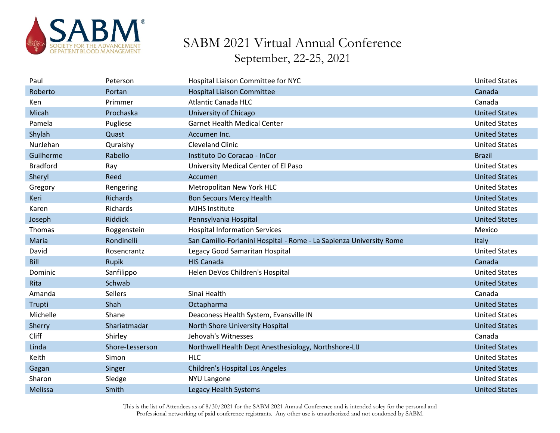

| Paul            | Peterson        | Hospital Liaison Committee for NYC                                  | <b>United States</b> |
|-----------------|-----------------|---------------------------------------------------------------------|----------------------|
| Roberto         | Portan          | <b>Hospital Liaison Committee</b>                                   | Canada               |
| Ken             | Primmer         | <b>Atlantic Canada HLC</b>                                          | Canada               |
| Micah           | Prochaska       | University of Chicago                                               | <b>United States</b> |
| Pamela          | Pugliese        | <b>Garnet Health Medical Center</b>                                 | <b>United States</b> |
| Shylah          | Quast           | Accumen Inc.                                                        | <b>United States</b> |
| NurJehan        | Quraishy        | <b>Cleveland Clinic</b>                                             | <b>United States</b> |
| Guilherme       | Rabello         | Instituto Do Coracao - InCor                                        | <b>Brazil</b>        |
| <b>Bradford</b> | Ray             | University Medical Center of El Paso                                | <b>United States</b> |
| Sheryl          | Reed            | Accumen                                                             | <b>United States</b> |
| Gregory         | Rengering       | Metropolitan New York HLC                                           | <b>United States</b> |
| Keri            | Richards        | <b>Bon Secours Mercy Health</b>                                     | <b>United States</b> |
| Karen           | Richards        | <b>MJHS Institute</b>                                               | <b>United States</b> |
| Joseph          | <b>Riddick</b>  | Pennsylvania Hospital                                               | <b>United States</b> |
| Thomas          | Roggenstein     | <b>Hospital Information Services</b>                                | Mexico               |
| Maria           | Rondinelli      | San Camillo-Forlanini Hospital - Rome - La Sapienza University Rome | Italy                |
|                 |                 |                                                                     |                      |
| David           | Rosencrantz     | Legacy Good Samaritan Hospital                                      | <b>United States</b> |
| <b>Bill</b>     | Rupik           | <b>HIS Canada</b>                                                   | Canada               |
| Dominic         | Sanfilippo      | Helen DeVos Children's Hospital                                     | <b>United States</b> |
| Rita            | Schwab          |                                                                     | <b>United States</b> |
| Amanda          | <b>Sellers</b>  | Sinai Health                                                        | Canada               |
| Trupti          | Shah            | Octapharma                                                          | <b>United States</b> |
| Michelle        | Shane           | Deaconess Health System, Evansville IN                              | <b>United States</b> |
| Sherry          | Shariatmadar    | North Shore University Hospital                                     | <b>United States</b> |
| Cliff           | Shirley         | Jehovah's Witnesses                                                 | Canada               |
| Linda           | Shore-Lesserson | Northwell Health Dept Anesthesiology, Northshore-LIJ                | <b>United States</b> |
| Keith           | Simon           | <b>HLC</b>                                                          | <b>United States</b> |
| Gagan           | Singer          | <b>Children's Hospital Los Angeles</b>                              | <b>United States</b> |
| Sharon          | Sledge          | <b>NYU Langone</b>                                                  | <b>United States</b> |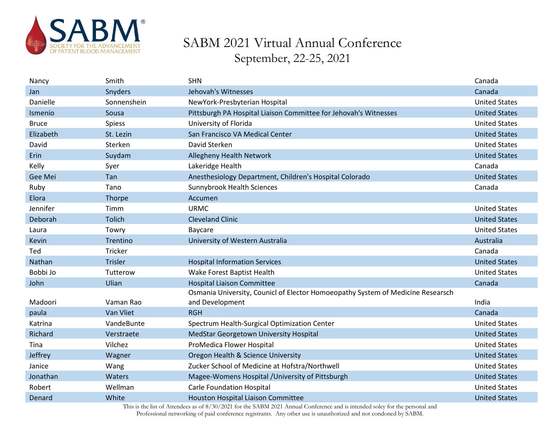

| Nancy        | Smith          | <b>SHN</b>                                                                      | Canada               |
|--------------|----------------|---------------------------------------------------------------------------------|----------------------|
| Jan          | <b>Snyders</b> | Jehovah's Witnesses                                                             | Canada               |
| Danielle     | Sonnenshein    | NewYork-Presbyterian Hospital                                                   | <b>United States</b> |
| Ismenio      | Sousa          | Pittsburgh PA Hospital Liaison Committee for Jehovah's Witnesses                | <b>United States</b> |
| <b>Bruce</b> | <b>Spiess</b>  | University of Florida                                                           | <b>United States</b> |
| Elizabeth    | St. Lezin      | San Francisco VA Medical Center                                                 | <b>United States</b> |
| David        | Sterken        | David Sterken                                                                   | <b>United States</b> |
| Erin         | Suydam         | <b>Allegheny Health Network</b>                                                 | <b>United States</b> |
| Kelly        | Syer           | Lakeridge Health                                                                | Canada               |
| Gee Mei      | Tan            | Anesthesiology Department, Children's Hospital Colorado                         | <b>United States</b> |
| Ruby         | Tano           | <b>Sunnybrook Health Sciences</b>                                               | Canada               |
| Elora        | Thorpe         | Accumen                                                                         |                      |
| Jennifer     | Timm           | <b>URMC</b>                                                                     | <b>United States</b> |
| Deborah      | <b>Tolich</b>  | <b>Cleveland Clinic</b>                                                         | <b>United States</b> |
| Laura        | Towry          | Baycare                                                                         | <b>United States</b> |
| Kevin        | Trentino       | University of Western Australia                                                 | Australia            |
| Ted          | Tricker        |                                                                                 | Canada               |
| Nathan       | <b>Trisler</b> | <b>Hospital Information Services</b>                                            | <b>United States</b> |
| Bobbi Jo     | Tutterow       | Wake Forest Baptist Health                                                      | <b>United States</b> |
| John         | Ulian          | <b>Hospital Liaison Committee</b>                                               | Canada               |
|              |                | Osmania University, Counicl of Elector Homoeopathy System of Medicine Researsch |                      |
| Madoori      | Vaman Rao      | and Development                                                                 | India                |
| paula        | Van Vliet      | <b>RGH</b>                                                                      | Canada               |
| Katrina      | VandeBunte     | Spectrum Health-Surgical Optimization Center                                    | <b>United States</b> |
| Richard      | Verstraete     | MedStar Georgetown University Hospital                                          | <b>United States</b> |
| Tina         | Vilchez        | ProMedica Flower Hospital                                                       | <b>United States</b> |
| Jeffrey      | Wagner         | Oregon Health & Science University                                              | <b>United States</b> |
| Janice       | Wang           | Zucker School of Medicine at Hofstra/Northwell                                  | <b>United States</b> |
| Jonathan     | Waters         | Magee-Womens Hospital / University of Pittsburgh                                | <b>United States</b> |
| Robert       | Wellman        | <b>Carle Foundation Hospital</b>                                                | <b>United States</b> |
| Denard       | White          | Houston Hospital Liaison Committee                                              | <b>United States</b> |